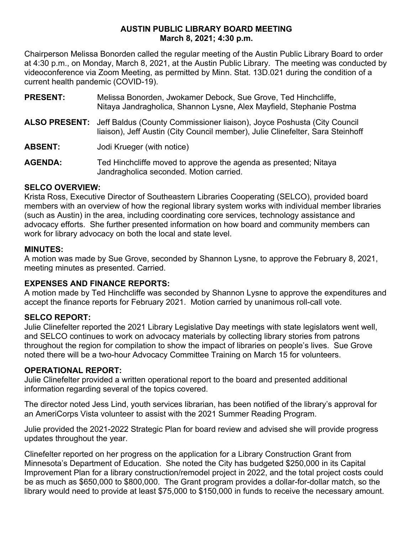## **AUSTIN PUBLIC LIBRARY BOARD MEETING March 8, 2021; 4:30 p.m.**

Chairperson Melissa Bonorden called the regular meeting of the Austin Public Library Board to order at 4:30 p.m., on Monday, March 8, 2021, at the Austin Public Library. The meeting was conducted by videoconference via Zoom Meeting, as permitted by Minn. Stat. 13D.021 during the condition of a current health pandemic (COVID-19).

- **PRESENT:** Melissa Bonorden, Jwokamer Debock, Sue Grove, Ted Hinchcliffe, Nitaya Jandragholica, Shannon Lysne, Alex Mayfield, Stephanie Postma
- **ALSO PRESENT:** Jeff Baldus (County Commissioner liaison), Joyce Poshusta (City Council liaison), Jeff Austin (City Council member), Julie Clinefelter, Sara Steinhoff

**ABSENT:** Jodi Krueger (with notice)

**AGENDA:** Ted Hinchcliffe moved to approve the agenda as presented; Nitaya Jandragholica seconded. Motion carried.

## **SELCO OVERVIEW:**

Krista Ross, Executive Director of Southeastern Libraries Cooperating (SELCO), provided board members with an overview of how the regional library system works with individual member libraries (such as Austin) in the area, including coordinating core services, technology assistance and advocacy efforts. She further presented information on how board and community members can work for library advocacy on both the local and state level.

# **MINUTES:**

A motion was made by Sue Grove, seconded by Shannon Lysne, to approve the February 8, 2021, meeting minutes as presented. Carried.

## **EXPENSES AND FINANCE REPORTS:**

A motion made by Ted Hinchcliffe was seconded by Shannon Lysne to approve the expenditures and accept the finance reports for February 2021. Motion carried by unanimous roll-call vote.

# **SELCO REPORT:**

Julie Clinefelter reported the 2021 Library Legislative Day meetings with state legislators went well, and SELCO continues to work on advocacy materials by collecting library stories from patrons throughout the region for compilation to show the impact of libraries on people's lives. Sue Grove noted there will be a two-hour Advocacy Committee Training on March 15 for volunteers.

## **OPERATIONAL REPORT:**

Julie Clinefelter provided a written operational report to the board and presented additional information regarding several of the topics covered.

The director noted Jess Lind, youth services librarian, has been notified of the library's approval for an AmeriCorps Vista volunteer to assist with the 2021 Summer Reading Program.

Julie provided the 2021-2022 Strategic Plan for board review and advised she will provide progress updates throughout the year.

Clinefelter reported on her progress on the application for a Library Construction Grant from Minnesota's Department of Education. She noted the City has budgeted \$250,000 in its Capital Improvement Plan for a library construction/remodel project in 2022, and the total project costs could be as much as \$650,000 to \$800,000. The Grant program provides a dollar-for-dollar match, so the library would need to provide at least \$75,000 to \$150,000 in funds to receive the necessary amount.